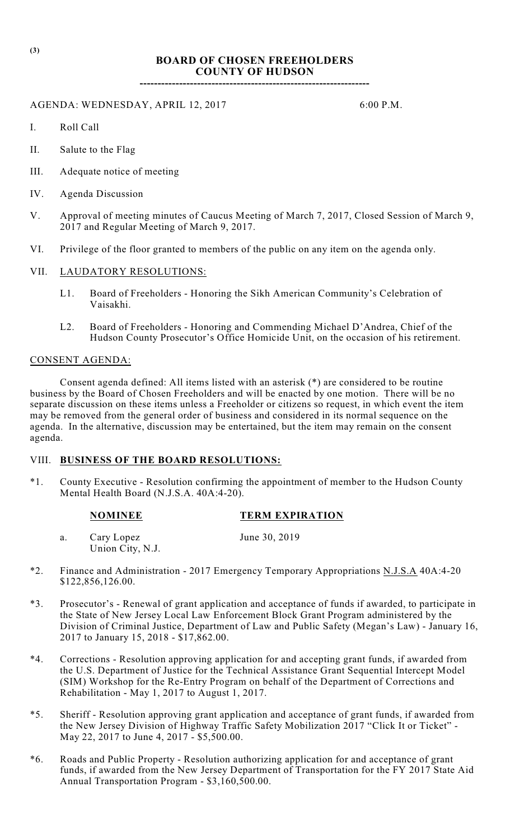# **BOARD OF CHOSEN FREEHOLDERS COUNTY OF HUDSON**

**----------------------------------------------------------------**

## AGENDA: WEDNESDAY, APRIL 12, 2017 6:00 P.M.

- I. Roll Call
- II. Salute to the Flag
- III. Adequate notice of meeting
- IV. Agenda Discussion
- V. Approval of meeting minutes of Caucus Meeting of March 7, 2017, Closed Session of March 9, 2017 and Regular Meeting of March 9, 2017.
- VI. Privilege of the floor granted to members of the public on any item on the agenda only.
- VII. LAUDATORY RESOLUTIONS:
	- L1. Board of Freeholders Honoring the Sikh American Community's Celebration of Vaisakhi.
	- L2. Board of Freeholders Honoring and Commending Michael D'Andrea, Chief of the Hudson County Prosecutor's Office Homicide Unit, on the occasion of his retirement.

#### CONSENT AGENDA:

Consent agenda defined: All items listed with an asterisk (\*) are considered to be routine business by the Board of Chosen Freeholders and will be enacted by one motion. There will be no separate discussion on these items unless a Freeholder or citizens so request, in which event the item may be removed from the general order of business and considered in its normal sequence on the agenda. In the alternative, discussion may be entertained, but the item may remain on the consent agenda.

#### VIII. **BUSINESS OF THE BOARD RESOLUTIONS:**

\*1. County Executive - Resolution confirming the appointment of member to the Hudson County Mental Health Board (N.J.S.A. 40A:4-20).

| <b>TERM EXPIRATION</b> |
|------------------------|
|                        |

- a. Cary Lopez June 30, 2019 Union City, N.J.
- \*2. Finance and Administration 2017 Emergency Temporary Appropriations N.J.S.A 40A:4-20 \$122,856,126.00.
- \*3. Prosecutor's Renewal of grant application and acceptance of funds if awarded, to participate in the State of New Jersey Local Law Enforcement Block Grant Program administered by the Division of Criminal Justice, Department of Law and Public Safety (Megan's Law) - January 16, 2017 to January 15, 2018 - \$17,862.00.
- \*4. Corrections Resolution approving application for and accepting grant funds, if awarded from the U.S. Department of Justice for the Technical Assistance Grant Sequential Intercept Model (SIM) Workshop for the Re-Entry Program on behalf of the Department of Corrections and Rehabilitation - May 1, 2017 to August 1, 2017.
- \*5. Sheriff Resolution approving grant application and acceptance of grant funds, if awarded from the New Jersey Division of Highway Traffic Safety Mobilization 2017 "Click It or Ticket" - May 22, 2017 to June 4, 2017 - \$5,500.00.
- \*6. Roads and Public Property Resolution authorizing application for and acceptance of grant funds, if awarded from the New Jersey Department of Transportation for the FY 2017 State Aid Annual Transportation Program - \$3,160,500.00.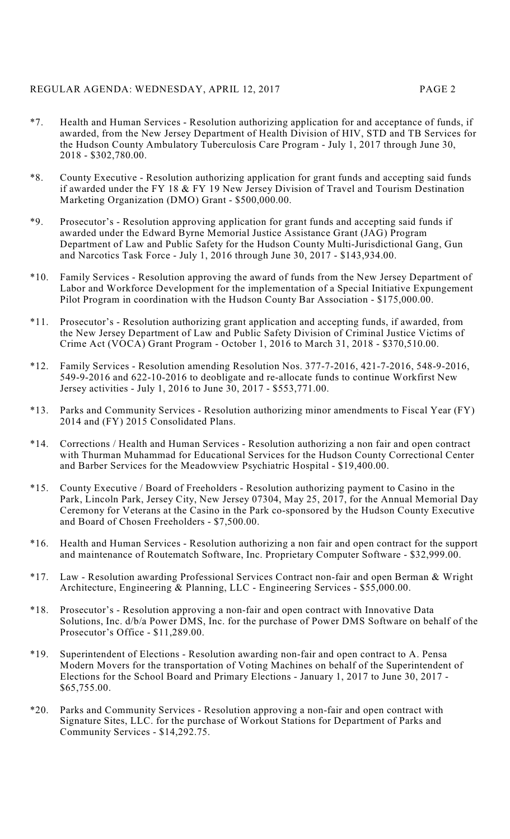### REGULAR AGENDA: WEDNESDAY, APRIL 12, 2017 PAGE 2

- \*7. Health and Human Services Resolution authorizing application for and acceptance of funds, if awarded, from the New Jersey Department of Health Division of HIV, STD and TB Services for the Hudson County Ambulatory Tuberculosis Care Program - July 1, 2017 through June 30, 2018 - \$302,780.00.
- \*8. County Executive Resolution authorizing application for grant funds and accepting said funds if awarded under the FY 18 & FY 19 New Jersey Division of Travel and Tourism Destination Marketing Organization (DMO) Grant - \$500,000.00.
- \*9. Prosecutor's Resolution approving application for grant funds and accepting said funds if awarded under the Edward Byrne Memorial Justice Assistance Grant (JAG) Program Department of Law and Public Safety for the Hudson County Multi-Jurisdictional Gang, Gun and Narcotics Task Force - July 1, 2016 through June 30, 2017 - \$143,934.00.
- \*10. Family Services Resolution approving the award of funds from the New Jersey Department of Labor and Workforce Development for the implementation of a Special Initiative Expungement Pilot Program in coordination with the Hudson County Bar Association - \$175,000.00.
- \*11. Prosecutor's Resolution authorizing grant application and accepting funds, if awarded, from the New Jersey Department of Law and Public Safety Division of Criminal Justice Victims of Crime Act (VOCA) Grant Program - October 1, 2016 to March 31, 2018 - \$370,510.00.
- \*12. Family Services Resolution amending Resolution Nos. 377-7-2016, 421-7-2016, 548-9-2016, 549-9-2016 and 622-10-2016 to deobligate and re-allocate funds to continue Workfirst New Jersey activities - July 1, 2016 to June 30, 2017 - \$553,771.00.
- \*13. Parks and Community Services Resolution authorizing minor amendments to Fiscal Year (FY) 2014 and (FY) 2015 Consolidated Plans.
- \*14. Corrections / Health and Human Services Resolution authorizing a non fair and open contract with Thurman Muhammad for Educational Services for the Hudson County Correctional Center and Barber Services for the Meadowview Psychiatric Hospital - \$19,400.00.
- \*15. County Executive / Board of Freeholders Resolution authorizing payment to Casino in the Park, Lincoln Park, Jersey City, New Jersey 07304, May 25, 2017, for the Annual Memorial Day Ceremony for Veterans at the Casino in the Park co-sponsored by the Hudson County Executive and Board of Chosen Freeholders - \$7,500.00.
- \*16. Health and Human Services Resolution authorizing a non fair and open contract for the support and maintenance of Routematch Software, Inc. Proprietary Computer Software - \$32,999.00.
- \*17. Law Resolution awarding Professional Services Contract non-fair and open Berman & Wright Architecture, Engineering & Planning, LLC - Engineering Services - \$55,000.00.
- \*18. Prosecutor's Resolution approving a non-fair and open contract with Innovative Data Solutions, Inc. d/b/a Power DMS, Inc. for the purchase of Power DMS Software on behalf of the Prosecutor's Office - \$11,289.00.
- \*19. Superintendent of Elections Resolution awarding non-fair and open contract to A. Pensa Modern Movers for the transportation of Voting Machines on behalf of the Superintendent of Elections for the School Board and Primary Elections - January 1, 2017 to June 30, 2017 - \$65,755.00.
- \*20. Parks and Community Services Resolution approving a non-fair and open contract with Signature Sites, LLC. for the purchase of Workout Stations for Department of Parks and Community Services - \$14,292.75.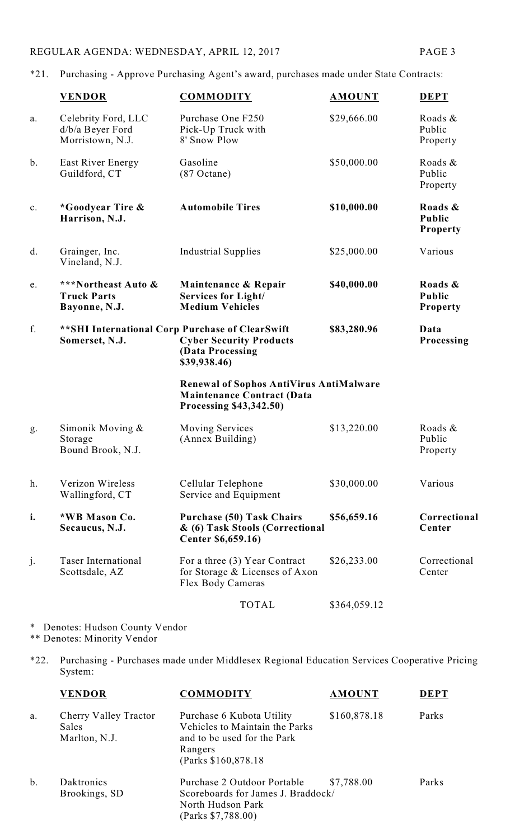\*21. Purchasing - Approve Purchasing Agent's award, purchases made under State Contracts:

|                | <b>VENDOR</b>                                               | <b>COMMODITY</b>                                                                                                       | <b>AMOUNT</b> | <b>DEPT</b>                                 |
|----------------|-------------------------------------------------------------|------------------------------------------------------------------------------------------------------------------------|---------------|---------------------------------------------|
| a.             | Celebrity Ford, LLC<br>d/b/a Beyer Ford<br>Morristown, N.J. | Purchase One F250<br>Pick-Up Truck with<br>8' Snow Plow                                                                | \$29,666.00   | Roads &<br>Public<br>Property               |
| $\mathbf b$ .  | East River Energy<br>Guildford, CT                          | Gasoline<br>$(87$ Octane)                                                                                              | \$50,000.00   | Roads &<br>Public<br>Property               |
| $\mathbf{c}$ . | *Goodyear Tire &<br>Harrison, N.J.                          | <b>Automobile Tires</b>                                                                                                | \$10,000.00   | Roads &<br><b>Public</b><br><b>Property</b> |
| d.             | Grainger, Inc.<br>Vineland, N.J.                            | <b>Industrial Supplies</b>                                                                                             | \$25,000.00   | Various                                     |
| e.             | ***Northeast Auto &<br><b>Truck Parts</b><br>Bayonne, N.J.  | Maintenance & Repair<br><b>Services for Light/</b><br><b>Medium Vehicles</b>                                           | \$40,000.00   | Roads &<br>Public<br><b>Property</b>        |
| f.             | Somerset, N.J.                                              | ** SHI International Corp Purchase of ClearSwift<br><b>Cyber Security Products</b><br>(Data Processing<br>\$39,938.46) | \$83,280.96   | Data<br>Processing                          |
|                |                                                             | Renewal of Sophos AntiVirus AntiMalware<br><b>Maintenance Contract (Data</b><br>Processing \$43,342.50)                |               |                                             |
| g.             | Simonik Moving $&$<br>Storage<br>Bound Brook, N.J.          | <b>Moving Services</b><br>(Annex Building)                                                                             | \$13,220.00   | Roads &<br>Public<br>Property               |
| h.             | Verizon Wireless<br>Wallingford, CT                         | Cellular Telephone<br>Service and Equipment                                                                            | \$30,000.00   | Various                                     |
| i.             | *WB Mason Co.<br>Secaucus, N.J.                             | <b>Purchase (50) Task Chairs</b><br>& (6) Task Stools (Correctional<br>Center \$6,659.16)                              | \$56,659.16   | Correctional<br>Center                      |
| j.             | <b>Taser International</b><br>Scottsdale, AZ                | For a three (3) Year Contract<br>for Storage & Licenses of Axon<br>Flex Body Cameras                                   | \$26,233.00   | Correctional<br>Center                      |
|                |                                                             | <b>TOTAL</b>                                                                                                           | \$364,059.12  |                                             |
|                |                                                             |                                                                                                                        |               |                                             |

\* Denotes: Hudson County Vendor \*\* Denotes: Minority Vendor

\*22. Purchasing - Purchases made under Middlesex Regional Education Services Cooperative Pricing System:

|       | <b>VENDOR</b>                                   | <b>COMMODITY</b>                                                                                                              | <b>AMOUNT</b> | DEPT  |
|-------|-------------------------------------------------|-------------------------------------------------------------------------------------------------------------------------------|---------------|-------|
| a.    | Cherry Valley Tractor<br>Sales<br>Marlton, N.J. | Purchase 6 Kubota Utility<br>Vehicles to Maintain the Parks<br>and to be used for the Park<br>Rangers<br>(Parks \$160,878.18) | \$160,878.18  | Parks |
| $b$ . | Daktronics<br>Brookings, SD                     | Purchase 2 Outdoor Portable<br>Scoreboards for James J. Braddock/<br>North Hudson Park<br>(Parks \$7,788.00)                  | \$7,788.00    | Parks |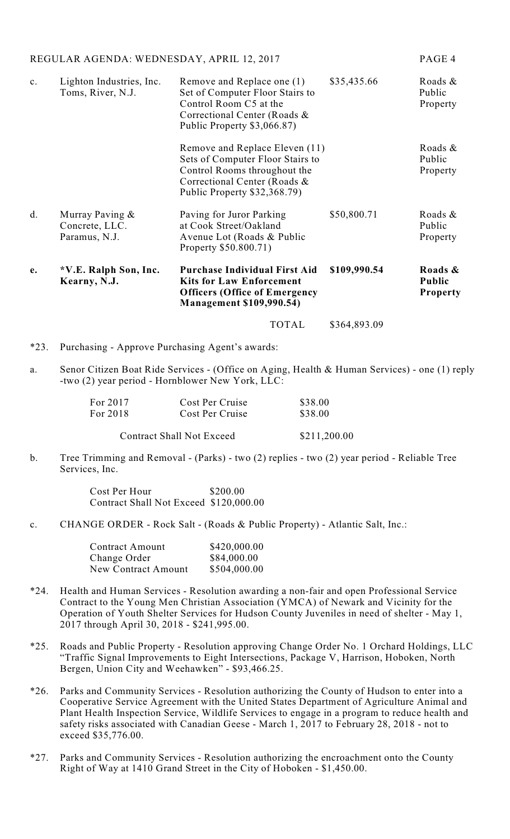| REGULAR AGENDA: WEDNESDAY, APRIL 12, 2017 |                                                    |                                                                                                                                                                    | PAGE 4       |                                             |
|-------------------------------------------|----------------------------------------------------|--------------------------------------------------------------------------------------------------------------------------------------------------------------------|--------------|---------------------------------------------|
| $\mathbf{c}$ .                            | Lighton Industries, Inc.<br>Toms, River, N.J.      | Remove and Replace one (1)<br>Set of Computer Floor Stairs to<br>Control Room C5 at the<br>Correctional Center (Roads &<br>Public Property \$3,066.87)             | \$35,435.66  | Roads &<br>Public<br>Property               |
|                                           |                                                    | Remove and Replace Eleven (11)<br>Sets of Computer Floor Stairs to<br>Control Rooms throughout the<br>Correctional Center (Roads &<br>Public Property \$32,368.79) |              | Roads &<br>Public<br>Property               |
| d.                                        | Murray Paving &<br>Concrete, LLC.<br>Paramus, N.J. | Paving for Juror Parking<br>at Cook Street/Oakland<br>Avenue Lot (Roads & Public<br>Property \$50.800.71)                                                          | \$50,800.71  | Roads &<br>Public<br>Property               |
| e.                                        | *V.E. Ralph Son, Inc.<br>Kearny, N.J.              | <b>Purchase Individual First Aid</b><br><b>Kits for Law Enforcement</b><br><b>Officers (Office of Emergency</b><br><b>Management \$109,990.54)</b>                 | \$109,990.54 | Roads &<br><b>Public</b><br><b>Property</b> |
|                                           |                                                    | <b>TOTAL</b>                                                                                                                                                       | \$364,893.09 |                                             |

- \*23. Purchasing Approve Purchasing Agent's awards:
- a. Senor Citizen Boat Ride Services (Office on Aging, Health & Human Services) one (1) reply -two (2) year period - Hornblower New York, LLC:

| For 2017                         | Cost Per Cruise | \$38.00 |
|----------------------------------|-----------------|---------|
| For 2018                         | Cost Per Cruise | \$38.00 |
| <b>Contract Shall Not Exceed</b> | \$211,200.00    |         |

b. Tree Trimming and Removal - (Parks) - two (2) replies - two (2) year period - Reliable Tree Services, Inc.

> Cost Per Hour \$200.00 Contract Shall Not Exceed \$120,000.00

c. CHANGE ORDER - Rock Salt - (Roads & Public Property) - Atlantic Salt, Inc.:

| <b>Contract Amount</b> | \$420,000.00 |
|------------------------|--------------|
| Change Order           | \$84,000.00  |
| New Contract Amount    | \$504,000.00 |

- \*24. Health and Human Services Resolution awarding a non-fair and open Professional Service Contract to the Young Men Christian Association (YMCA) of Newark and Vicinity for the Operation of Youth Shelter Services for Hudson County Juveniles in need of shelter - May 1, 2017 through April 30, 2018 - \$241,995.00.
- \*25. Roads and Public Property Resolution approving Change Order No. 1 Orchard Holdings, LLC "Traffic Signal Improvements to Eight Intersections, Package V, Harrison, Hoboken, North Bergen, Union City and Weehawken" - \$93,466.25.
- \*26. Parks and Community Services Resolution authorizing the County of Hudson to enter into a Cooperative Service Agreement with the United States Department of Agriculture Animal and Plant Health Inspection Service, Wildlife Services to engage in a program to reduce health and safety risks associated with Canadian Geese - March 1, 2017 to February 28, 2018 - not to exceed \$35,776.00.
- \*27. Parks and Community Services Resolution authorizing the encroachment onto the County Right of Way at 1410 Grand Street in the City of Hoboken - \$1,450.00.